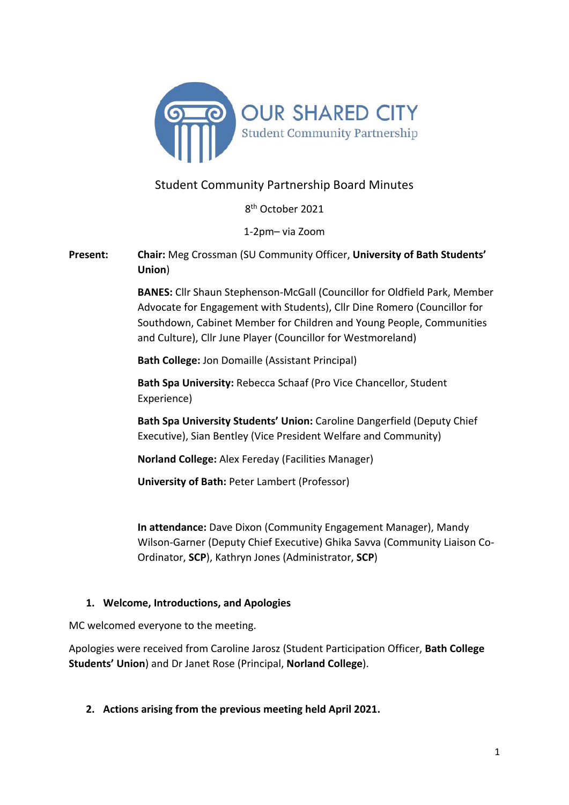

# Student Community Partnership Board Minutes

8th October 2021

1-2pm– via Zoom

**Present: Chair:** Meg Crossman (SU Community Officer, **University of Bath Students' Union**)

> **BANES:** Cllr Shaun Stephenson-McGall (Councillor for Oldfield Park, Member Advocate for Engagement with Students), Cllr Dine Romero (Councillor for Southdown, Cabinet Member for Children and Young People, Communities and Culture), Cllr June Player (Councillor for Westmoreland)

**Bath College:** Jon Domaille (Assistant Principal)

**Bath Spa University:** Rebecca Schaaf (Pro Vice Chancellor, Student Experience)

**Bath Spa University Students' Union:** Caroline Dangerfield (Deputy Chief Executive), Sian Bentley (Vice President Welfare and Community)

**Norland College:** Alex Fereday (Facilities Manager)

**University of Bath:** Peter Lambert (Professor)

**In attendance:** Dave Dixon (Community Engagement Manager), Mandy Wilson-Garner (Deputy Chief Executive) Ghika Savva (Community Liaison Co-Ordinator, **SCP**), Kathryn Jones (Administrator, **SCP**)

### **1. Welcome, Introductions, and Apologies**

MC welcomed everyone to the meeting.

Apologies were received from Caroline Jarosz (Student Participation Officer, **Bath College Students' Union**) and Dr Janet Rose (Principal, **Norland College**).

**2. Actions arising from the previous meeting held April 2021.**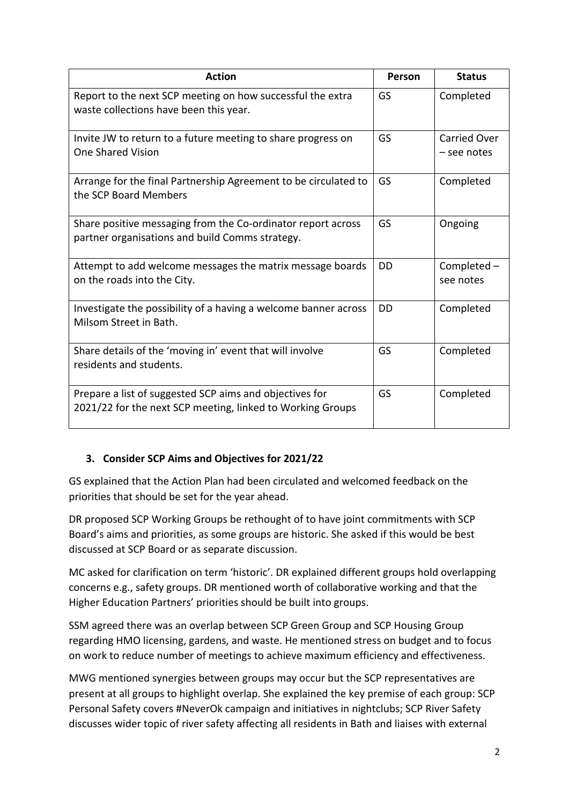| <b>Action</b>                                                                                                         | Person | <b>Status</b>                      |
|-----------------------------------------------------------------------------------------------------------------------|--------|------------------------------------|
| Report to the next SCP meeting on how successful the extra<br>waste collections have been this year.                  | GS     | Completed                          |
| Invite JW to return to a future meeting to share progress on<br><b>One Shared Vision</b>                              | GS     | <b>Carried Over</b><br>– see notes |
| Arrange for the final Partnership Agreement to be circulated to<br>the SCP Board Members                              | GS     | Completed                          |
| Share positive messaging from the Co-ordinator report across<br>partner organisations and build Comms strategy.       | GS     | Ongoing                            |
| Attempt to add welcome messages the matrix message boards<br>on the roads into the City.                              | DD     | Completed -<br>see notes           |
| Investigate the possibility of a having a welcome banner across<br>Milsom Street in Bath.                             | DD     | Completed                          |
| Share details of the 'moving in' event that will involve<br>residents and students.                                   | GS     | Completed                          |
| Prepare a list of suggested SCP aims and objectives for<br>2021/22 for the next SCP meeting, linked to Working Groups | GS     | Completed                          |

# **3. Consider SCP Aims and Objectives for 2021/22**

GS explained that the Action Plan had been circulated and welcomed feedback on the priorities that should be set for the year ahead.

DR proposed SCP Working Groups be rethought of to have joint commitments with SCP Board's aims and priorities, as some groups are historic. She asked if this would be best discussed at SCP Board or as separate discussion.

MC asked for clarification on term 'historic'. DR explained different groups hold overlapping concerns e.g., safety groups. DR mentioned worth of collaborative working and that the Higher Education Partners' priorities should be built into groups.

SSM agreed there was an overlap between SCP Green Group and SCP Housing Group regarding HMO licensing, gardens, and waste. He mentioned stress on budget and to focus on work to reduce number of meetings to achieve maximum efficiency and effectiveness.

MWG mentioned synergies between groups may occur but the SCP representatives are present at all groups to highlight overlap. She explained the key premise of each group: SCP Personal Safety covers #NeverOk campaign and initiatives in nightclubs; SCP River Safety discusses wider topic of river safety affecting all residents in Bath and liaises with external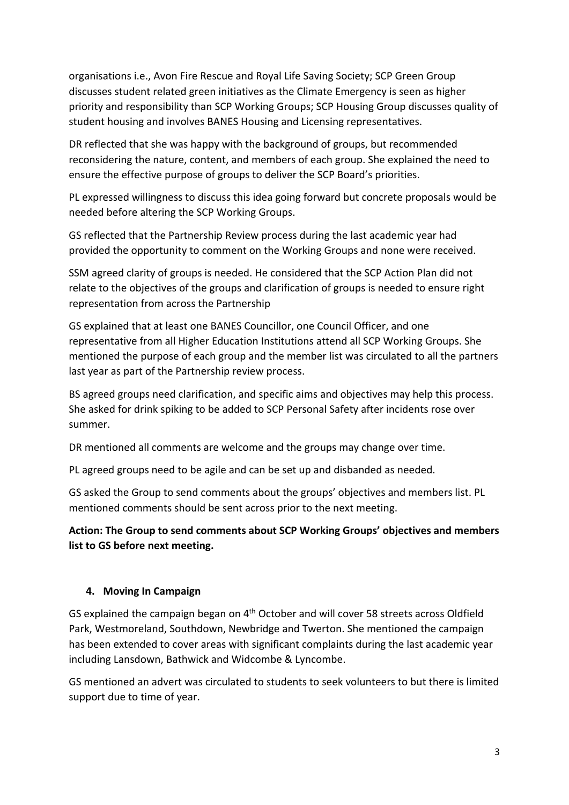organisations i.e., Avon Fire Rescue and Royal Life Saving Society; SCP Green Group discusses student related green initiatives as the Climate Emergency is seen as higher priority and responsibility than SCP Working Groups; SCP Housing Group discusses quality of student housing and involves BANES Housing and Licensing representatives.

DR reflected that she was happy with the background of groups, but recommended reconsidering the nature, content, and members of each group. She explained the need to ensure the effective purpose of groups to deliver the SCP Board's priorities.

PL expressed willingness to discuss this idea going forward but concrete proposals would be needed before altering the SCP Working Groups.

GS reflected that the Partnership Review process during the last academic year had provided the opportunity to comment on the Working Groups and none were received.

SSM agreed clarity of groups is needed. He considered that the SCP Action Plan did not relate to the objectives of the groups and clarification of groups is needed to ensure right representation from across the Partnership

GS explained that at least one BANES Councillor, one Council Officer, and one representative from all Higher Education Institutions attend all SCP Working Groups. She mentioned the purpose of each group and the member list was circulated to all the partners last year as part of the Partnership review process.

BS agreed groups need clarification, and specific aims and objectives may help this process. She asked for drink spiking to be added to SCP Personal Safety after incidents rose over summer.

DR mentioned all comments are welcome and the groups may change over time.

PL agreed groups need to be agile and can be set up and disbanded as needed.

GS asked the Group to send comments about the groups' objectives and members list. PL mentioned comments should be sent across prior to the next meeting.

# **Action: The Group to send comments about SCP Working Groups' objectives and members list to GS before next meeting.**

### **4. Moving In Campaign**

GS explained the campaign began on 4th October and will cover 58 streets across Oldfield Park, Westmoreland, Southdown, Newbridge and Twerton. She mentioned the campaign has been extended to cover areas with significant complaints during the last academic year including Lansdown, Bathwick and Widcombe & Lyncombe.

GS mentioned an advert was circulated to students to seek volunteers to but there is limited support due to time of year.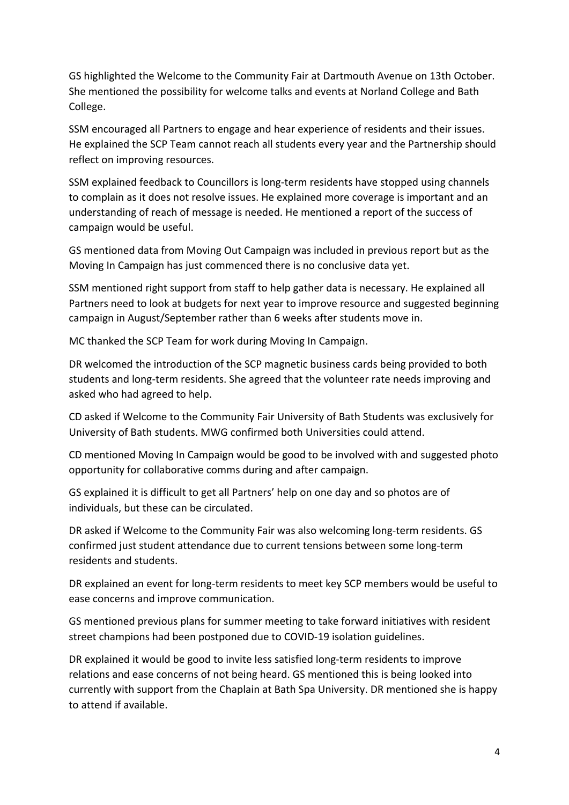GS highlighted the Welcome to the Community Fair at Dartmouth Avenue on 13th October. She mentioned the possibility for welcome talks and events at Norland College and Bath College.

SSM encouraged all Partners to engage and hear experience of residents and their issues. He explained the SCP Team cannot reach all students every year and the Partnership should reflect on improving resources.

SSM explained feedback to Councillors is long-term residents have stopped using channels to complain as it does not resolve issues. He explained more coverage is important and an understanding of reach of message is needed. He mentioned a report of the success of campaign would be useful.

GS mentioned data from Moving Out Campaign was included in previous report but as the Moving In Campaign has just commenced there is no conclusive data yet.

SSM mentioned right support from staff to help gather data is necessary. He explained all Partners need to look at budgets for next year to improve resource and suggested beginning campaign in August/September rather than 6 weeks after students move in.

MC thanked the SCP Team for work during Moving In Campaign.

DR welcomed the introduction of the SCP magnetic business cards being provided to both students and long-term residents. She agreed that the volunteer rate needs improving and asked who had agreed to help.

CD asked if Welcome to the Community Fair University of Bath Students was exclusively for University of Bath students. MWG confirmed both Universities could attend.

CD mentioned Moving In Campaign would be good to be involved with and suggested photo opportunity for collaborative comms during and after campaign.

GS explained it is difficult to get all Partners' help on one day and so photos are of individuals, but these can be circulated.

DR asked if Welcome to the Community Fair was also welcoming long-term residents. GS confirmed just student attendance due to current tensions between some long-term residents and students.

DR explained an event for long-term residents to meet key SCP members would be useful to ease concerns and improve communication.

GS mentioned previous plans for summer meeting to take forward initiatives with resident street champions had been postponed due to COVID-19 isolation guidelines.

DR explained it would be good to invite less satisfied long-term residents to improve relations and ease concerns of not being heard. GS mentioned this is being looked into currently with support from the Chaplain at Bath Spa University. DR mentioned she is happy to attend if available.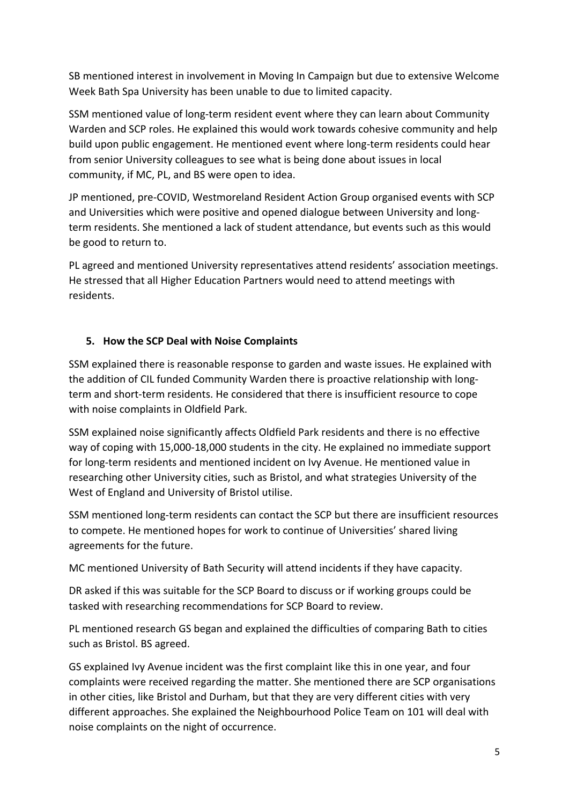SB mentioned interest in involvement in Moving In Campaign but due to extensive Welcome Week Bath Spa University has been unable to due to limited capacity.

SSM mentioned value of long-term resident event where they can learn about Community Warden and SCP roles. He explained this would work towards cohesive community and help build upon public engagement. He mentioned event where long-term residents could hear from senior University colleagues to see what is being done about issues in local community, if MC, PL, and BS were open to idea.

JP mentioned, pre-COVID, Westmoreland Resident Action Group organised events with SCP and Universities which were positive and opened dialogue between University and longterm residents. She mentioned a lack of student attendance, but events such as this would be good to return to.

PL agreed and mentioned University representatives attend residents' association meetings. He stressed that all Higher Education Partners would need to attend meetings with residents.

## **5. How the SCP Deal with Noise Complaints**

SSM explained there is reasonable response to garden and waste issues. He explained with the addition of CIL funded Community Warden there is proactive relationship with longterm and short-term residents. He considered that there is insufficient resource to cope with noise complaints in Oldfield Park.

SSM explained noise significantly affects Oldfield Park residents and there is no effective way of coping with 15,000-18,000 students in the city. He explained no immediate support for long-term residents and mentioned incident on Ivy Avenue. He mentioned value in researching other University cities, such as Bristol, and what strategies University of the West of England and University of Bristol utilise.

SSM mentioned long-term residents can contact the SCP but there are insufficient resources to compete. He mentioned hopes for work to continue of Universities' shared living agreements for the future.

MC mentioned University of Bath Security will attend incidents if they have capacity.

DR asked if this was suitable for the SCP Board to discuss or if working groups could be tasked with researching recommendations for SCP Board to review.

PL mentioned research GS began and explained the difficulties of comparing Bath to cities such as Bristol. BS agreed.

GS explained Ivy Avenue incident was the first complaint like this in one year, and four complaints were received regarding the matter. She mentioned there are SCP organisations in other cities, like Bristol and Durham, but that they are very different cities with very different approaches. She explained the Neighbourhood Police Team on 101 will deal with noise complaints on the night of occurrence.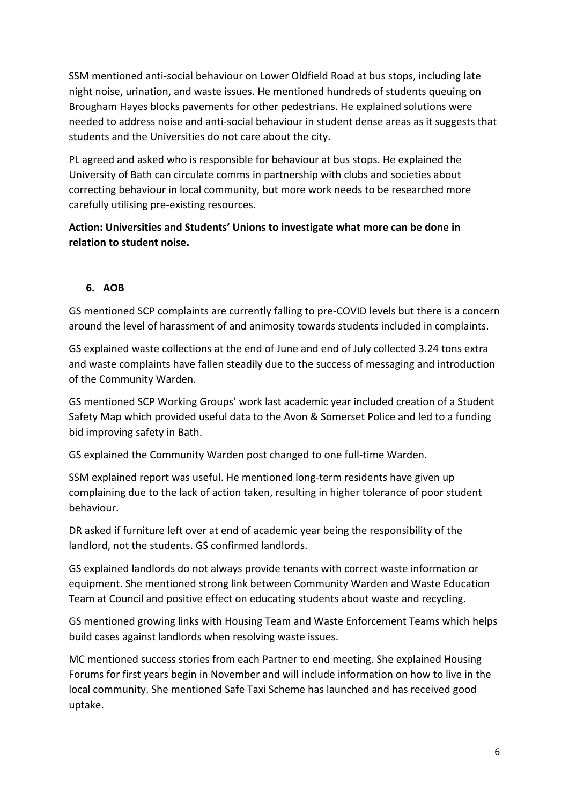SSM mentioned anti-social behaviour on Lower Oldfield Road at bus stops, including late night noise, urination, and waste issues. He mentioned hundreds of students queuing on Brougham Hayes blocks pavements for other pedestrians. He explained solutions were needed to address noise and anti-social behaviour in student dense areas as it suggests that students and the Universities do not care about the city.

PL agreed and asked who is responsible for behaviour at bus stops. He explained the University of Bath can circulate comms in partnership with clubs and societies about correcting behaviour in local community, but more work needs to be researched more carefully utilising pre-existing resources.

**Action: Universities and Students' Unions to investigate what more can be done in relation to student noise.**

# **6. AOB**

GS mentioned SCP complaints are currently falling to pre-COVID levels but there is a concern around the level of harassment of and animosity towards students included in complaints.

GS explained waste collections at the end of June and end of July collected 3.24 tons extra and waste complaints have fallen steadily due to the success of messaging and introduction of the Community Warden.

GS mentioned SCP Working Groups' work last academic year included creation of a Student Safety Map which provided useful data to the Avon & Somerset Police and led to a funding bid improving safety in Bath.

GS explained the Community Warden post changed to one full-time Warden.

SSM explained report was useful. He mentioned long-term residents have given up complaining due to the lack of action taken, resulting in higher tolerance of poor student behaviour.

DR asked if furniture left over at end of academic year being the responsibility of the landlord, not the students. GS confirmed landlords.

GS explained landlords do not always provide tenants with correct waste information or equipment. She mentioned strong link between Community Warden and Waste Education Team at Council and positive effect on educating students about waste and recycling.

GS mentioned growing links with Housing Team and Waste Enforcement Teams which helps build cases against landlords when resolving waste issues.

MC mentioned success stories from each Partner to end meeting. She explained Housing Forums for first years begin in November and will include information on how to live in the local community. She mentioned Safe Taxi Scheme has launched and has received good uptake.